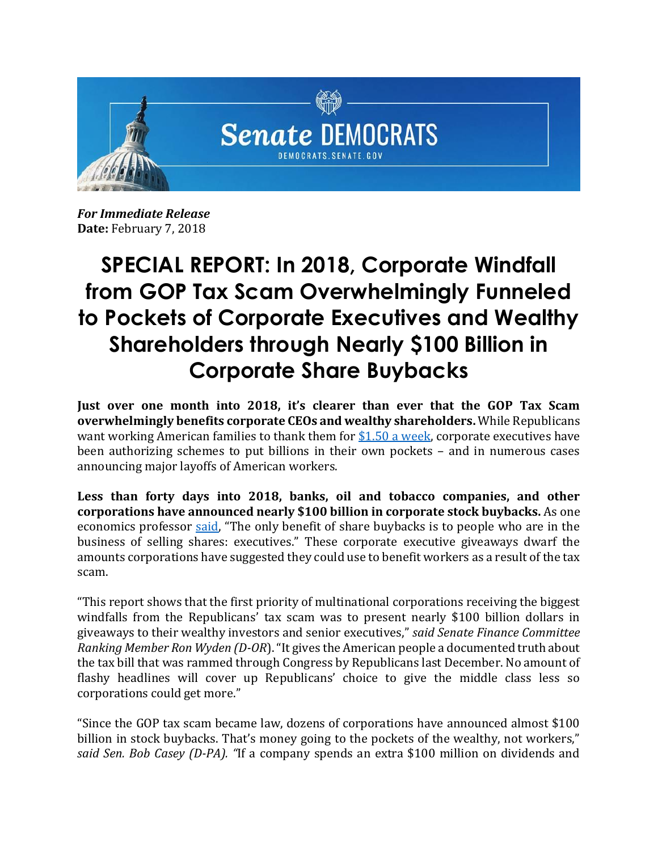

*For Immediate Release* **Date:** February 7, 2018

## **SPECIAL REPORT: In 2018, Corporate Windfall from GOP Tax Scam Overwhelmingly Funneled to Pockets of Corporate Executives and Wealthy Shareholders through Nearly \$100 Billion in Corporate Share Buybacks**

**Just over one month into 2018, it's clearer than ever that the GOP Tax Scam overwhelmingly benefits corporate CEOs and wealthy shareholders.** While Republicans want working American families to thank them fo[r \\$1.50 a week,](http://www.businessinsider.com/paul-ryan-slammed-over-tweet-about-gop-tax-law-2018-2) corporate executives have been authorizing schemes to put billions in their own pockets – and in numerous cases announcing major layoffs of American workers.

**Less than forty days into 2018, banks, oil and tobacco companies, and other corporations have announced nearly \$100 billion in corporate stock buybacks.** As one economics professor [said](https://www.ft.com/content/460e82b2-0744-11e8-9650-9c0ad2d7c5b5?utm_source=dlvr.it&utm_medium=twitter), "The only benefit of share buybacks is to people who are in the business of selling shares: executives." These corporate executive giveaways dwarf the amounts corporations have suggested they could use to benefit workers as a result of the tax scam.

"This report shows that the first priority of multinational corporations receiving the biggest windfalls from the Republicans' tax scam was to present nearly \$100 billion dollars in giveaways to their wealthy investors and senior executives," *said Senate Finance Committee Ranking Member Ron Wyden (D-OR*). "It gives the American people a documented truth about the tax bill that was rammed through Congress by Republicans last December. No amount of flashy headlines will cover up Republicans' choice to give the middle class less so corporations could get more."

"Since the GOP tax scam became law, dozens of corporations have announced almost \$100 billion in stock buybacks. That's money going to the pockets of the wealthy, not workers," *said Sen. Bob Casey (D-PA). "*If a company spends an extra \$100 million on dividends and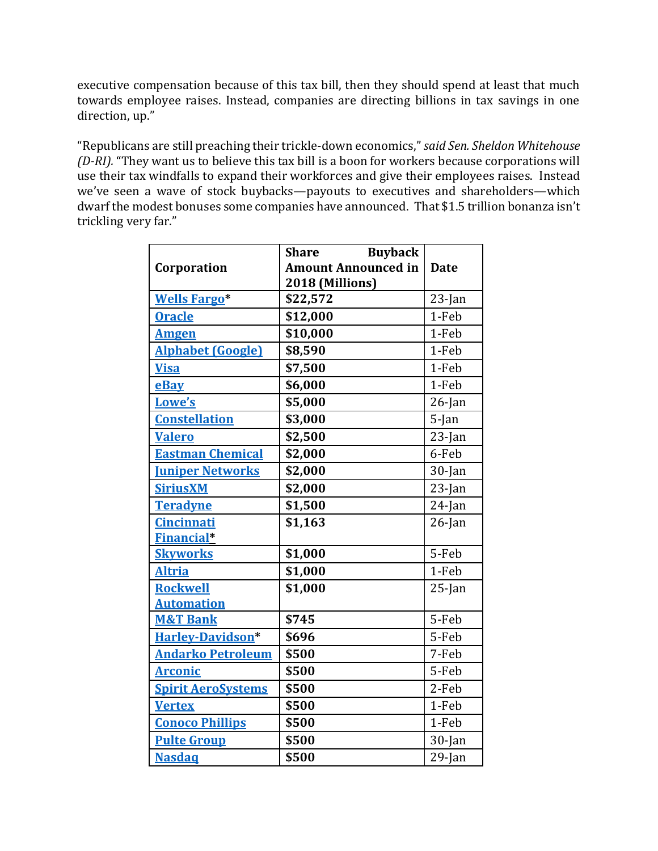executive compensation because of this tax bill, then they should spend at least that much towards employee raises. Instead, companies are directing billions in tax savings in one direction, up."

"Republicans are still preaching their trickle-down economics," *said Sen. Sheldon Whitehouse (D-RI).* "They want us to believe this tax bill is a boon for workers because corporations will use their tax windfalls to expand their workforces and give their employees raises. Instead we've seen a wave of stock buybacks—payouts to executives and shareholders—which dwarf the modest bonuses some companies have announced. That \$1.5 trillion bonanza isn't trickling very far."

|                           | <b>Buyback</b><br><b>Share</b> |             |
|---------------------------|--------------------------------|-------------|
| Corporation               | <b>Amount Announced in</b>     | <b>Date</b> |
|                           | 2018 (Millions)                |             |
| <b>Wells Fargo*</b>       | \$22,572                       | $23$ -Jan   |
| <b>Oracle</b>             | \$12,000                       | 1-Feb       |
| <b>Amgen</b>              | \$10,000                       | 1-Feb       |
| <b>Alphabet (Google)</b>  | \$8,590                        | 1-Feb       |
| <b>Visa</b>               | \$7,500                        | 1-Feb       |
| eBay                      | \$6,000                        | 1-Feb       |
| Lowe's                    | \$5,000                        | $26$ -Jan   |
| <b>Constellation</b>      | \$3,000                        | $5$ -Jan    |
| <b>Valero</b>             | \$2,500                        | $23$ -Jan   |
| <b>Eastman Chemical</b>   | \$2,000                        | 6-Feb       |
| <b>Juniper Networks</b>   | \$2,000                        | $30$ -Jan   |
| <b>SiriusXM</b>           | \$2,000                        | $23$ -Jan   |
| <b>Teradyne</b>           | \$1,500                        | $24$ -Jan   |
| <b>Cincinnati</b>         | \$1,163                        | $26$ -Jan   |
| <b>Financial*</b>         |                                |             |
| <b>Skyworks</b>           | \$1,000                        | 5-Feb       |
| <b>Altria</b>             | \$1,000                        | 1-Feb       |
| <b>Rockwell</b>           | \$1,000                        | $25$ -Jan   |
| <b>Automation</b>         |                                |             |
| <b>M&amp;T Bank</b>       | \$745                          | 5-Feb       |
| Harley-Davidson*          | \$696                          | 5-Feb       |
| <b>Andarko Petroleum</b>  | \$500                          | 7-Feb       |
| <b>Arconic</b>            | \$500                          | 5-Feb       |
| <b>Spirit AeroSystems</b> | \$500                          | 2-Feb       |
| <b>Vertex</b>             | \$500                          | 1-Feb       |
| <b>Conoco Phillips</b>    | \$500                          | 1-Feb       |
| <b>Pulte Group</b>        | \$500                          | $30$ -Jan   |
| <b>Nasdaq</b>             | \$500                          | $29$ -Jan   |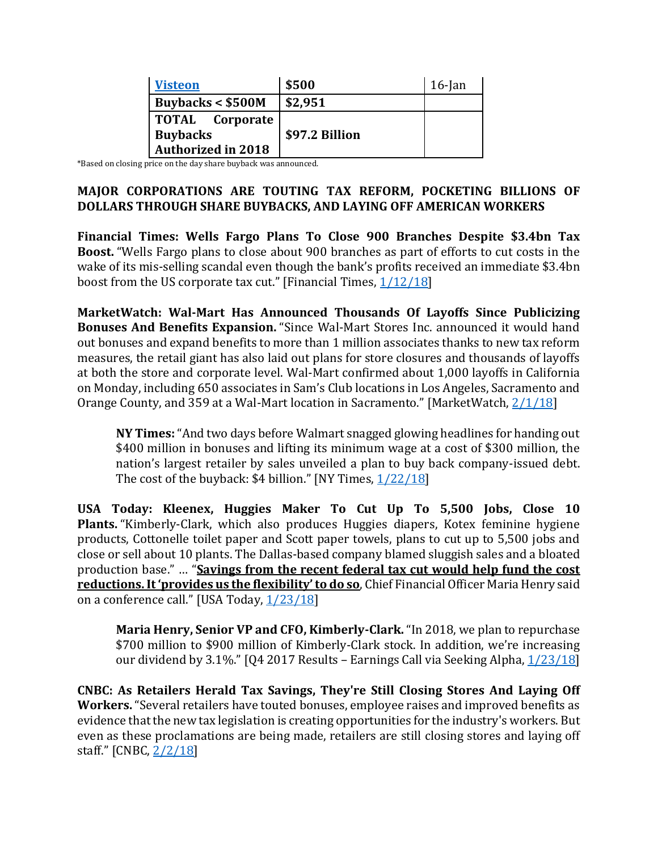| <b>Visteon</b>            | \$500          | $16$ -Jan |
|---------------------------|----------------|-----------|
| Buybacks $<$ \$500M       | \$2,951        |           |
| <b>TOTAL</b> Corporate    |                |           |
| <b>Buybacks</b>           | \$97.2 Billion |           |
| <b>Authorized in 2018</b> |                |           |

\*Based on closing price on the day share buyback was announced.

## **MAJOR CORPORATIONS ARE TOUTING TAX REFORM, POCKETING BILLIONS OF DOLLARS THROUGH SHARE BUYBACKS, AND LAYING OFF AMERICAN WORKERS**

**Financial Times: Wells Fargo Plans To Close 900 Branches Despite \$3.4bn Tax Boost.** "Wells Fargo plans to close about 900 branches as part of efforts to cut costs in the wake of its mis-selling scandal even though the bank's profits received an immediate \$3.4bn boost from the US corporate tax cut." [Financial Times, [1/12/18\]](https://www.ft.com/content/e3fe9218-f79b-11e7-88f7-5465a6ce1a00)

**MarketWatch: Wal-Mart Has Announced Thousands Of Layoffs Since Publicizing Bonuses And Benefits Expansion.** "Since Wal-Mart Stores Inc. announced it would hand out bonuses and expand benefits to more than 1 million associates thanks to new tax reform measures, the retail giant has also laid out plans for store closures and thousands of layoffs at both the store and corporate level. Wal-Mart confirmed about 1,000 layoffs in California on Monday, including 650 associates in Sam's Club locations in Los Angeles, Sacramento and Orange County, and 359 at a Wal-Mart location in Sacramento." [MarketWatch, [2/1/18\]](https://www.marketwatch.com/story/wal-mart-has-announced-thousands-of-layoffs-since-publicizing-bonuses-and-benefits-expansion-2018-01-30)

**NY Times:**"And two days before Walmart snagged glowing headlines for handing out \$400 million in bonuses and lifting its minimum wage at a cost of \$300 million, the nation's largest retailer by sales unveiled a plan to buy back company-issued debt. The cost of the buyback: \$4 billion." [NY Times,  $1/22/18$ ]

**USA Today: Kleenex, Huggies Maker To Cut Up To 5,500 Jobs, Close 10 Plants.** "Kimberly-Clark, which also produces Huggies diapers, Kotex feminine hygiene products, Cottonelle toilet paper and Scott paper towels, plans to cut up to 5,500 jobs and close or sell about 10 plants. The Dallas-based company blamed sluggish sales and a bloated production base." … "**Savings from the recent federal tax cut would help fund the cost reductions. It 'provides us the flexibility' to do so**, Chief Financial Officer Maria Henry said on a conference call." [USA Today, [1/23/18\]](https://www.usatoday.com/story/money/2018/01/23/kleenex-huggies-maker-cut-up-5-500-jobs-close-10-plants/1057016001/)

**Maria Henry, Senior VP and CFO, Kimberly-Clark.** "In 2018, we plan to repurchase \$700 million to \$900 million of Kimberly-Clark stock. In addition, we're increasing our dividend by 3.1%."  $[Q4 2017$  Results – Earnings Call via Seeking Alpha,  $1/23/18$ ]

**CNBC: As Retailers Herald Tax Savings, They're Still Closing Stores And Laying Off Workers.** "Several retailers have touted bonuses, employee raises and improved benefits as evidence that the new tax legislation is creating opportunities for the industry's workers. But even as these proclamations are being made, retailers are still closing stores and laying off staff." [CNBC, [2/2/18\]](https://www.cnbc.com/2018/02/02/as-retailers-herald-tax-savings-still-closing-stores-axing-staff.html)